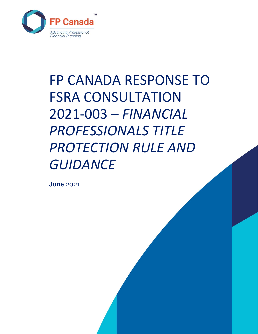

# FP CANADA RESPONSE TO FSRA CONSULTATION 2021-003 – *FINANCIAL PROFESSIONALS TITLE PROTECTION RULE AND GUIDANCE*

June 2021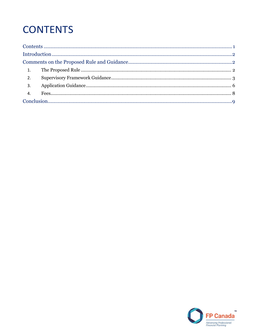# <span id="page-1-0"></span>**CONTENTS**

|                  | 1. |  |  |
|------------------|----|--|--|
| $\overline{2}$ . |    |  |  |
| $\overline{3}$ . |    |  |  |
|                  |    |  |  |
|                  |    |  |  |

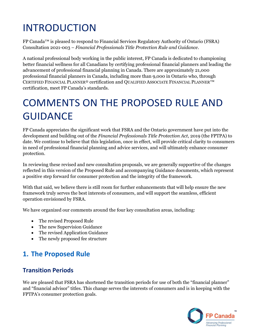# <span id="page-2-0"></span>INTRODUCTION

FP Canada™ is pleased to respond to Financial Services Regulatory Authority of Ontario (FSRA) Consultation 2021-003 – *Financial Professionals Title Protection Rule and Guidance*.

A national professional body working in the public interest, FP Canada is dedicated to championing better financial wellness for all Canadians by certifying professional financial planners and leading the advancement of professional financial planning in Canada. There are approximately 21,000 professional financial planners in Canada, including more than 9,000 in Ontario who, through CERTIFIED FINANCIAL PLANNER® certification and QUALIFIED ASSOCIATE FINANCIAL PLANNER™ certification, meet FP Canada's standards.

# <span id="page-2-1"></span>COMMENTS ON THE PROPOSED RULE AND **GUIDANCE**

FP Canada appreciates the significant work that FSRA and the Ontario government have put into the development and building out of the *Financial Professionals Title Protection Act*, 2019 (the FPTPA) to date. We continue to believe that this legislation, once in effect, will provide critical clarity to consumers in need of professional financial planning and advice services, and will ultimately enhance consumer protection.

In reviewing these revised and new consultation proposals, we are generally supportive of the changes reflected in this version of the Proposed Rule and accompanying Guidance documents, which represent a positive step forward for consumer protection and the integrity of the framework.

With that said, we believe there is still room for further enhancements that will help ensure the new framework truly serves the best interests of consumers, and will support the seamless, efficient operation envisioned by FSRA.

We have organized our comments around the four key consultation areas, including:

- The revised Proposed Rule
- The new Supervision Guidance
- The revised Application Guidance
- The newly proposed fee structure

### <span id="page-2-2"></span>**1. The Proposed Rule**

#### **Transition Periods**

We are pleased that FSRA has shortened the transition periods for use of both the "financial planner" and "financial advisor" titles. This change serves the interests of consumers and is in keeping with the FPTPA's consumer protection goals.

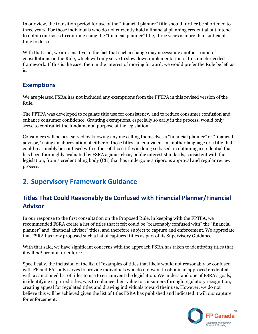In our view, the transition period for use of the "financial planner" title should further be shortened to three years. For those individuals who do not currently hold a financial planning credential but intend to obtain one so as to continue using the "financial planner" title, three years is more than sufficient time to do so.

With that said, we are sensitive to the fact that such a change may necessitate another round of consultations on the Rule, which will only serve to slow down implementation of this much-needed framework. If this is the case, then in the interest of moving forward, we would prefer the Rule be left as is.

#### **Exemptions**

We are pleased FSRA has not included any exemptions from the FPTPA in this revised version of the Rule.

The FPTPA was developed to regulate title use for consistency, and to reduce consumer confusion and enhance consumer confidence. Granting exemptions, especially so early in the process, would only serve to contradict the fundamental purpose of the legislation.

Consumers will be best served by knowing anyone calling themselves a "financial planner" or "financial advisor," using an abbreviation of either of those titles, an equivalent in another language or a title that could reasonably be confused with either of those titles is doing so based on obtaining a credential that has been thoroughly evaluated by FSRA against clear, public interest standards, consistent with the legislation, from a credentialing body (CB) that has undergone a rigorous approval and regular review process.

### <span id="page-3-0"></span>**2. Supervisory Framework Guidance**

#### **Titles That Could Reasonably Be Confused with Financial Planner/Financial Advisor**

In our response to the first consultation on the Proposed Rule, in keeping with the FPTPA, we recommended FSRA create a list of titles that it felt could be "reasonably confused with" the "financial planner" and "financial advisor" titles, and therefore subject to capture and enforcement. We appreciate that FSRA has now proposed such a list of captured titles as part of its Supervisory Guidance.

With that said, we have significant concerns with the approach FSRA has taken to identifying titles that it will *not* prohibit or enforce.

Specifically, the inclusion of the list of "examples of titles that likely would not reasonably be confused with FP and FA" only serves to provide individuals who do not want to obtain an approved credential with a sanctioned list of titles to use to circumvent the legislation. We understand one of FSRA's goals, in identifying captured titles, was to enhance their value to consumers through regulatory recognition, creating appeal for regulated titles and drawing individuals toward their use. However, we do not believe this will be achieved given the list of titles FSRA has published and indicated it will *not* capture for enforcement.

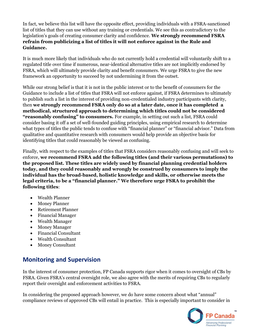In fact, we believe this list will have the opposite effect, providing individuals with a FSRA-sanctioned list of titles that they can use without any training or credentials. We see this as contradictory to the legislation's goals of creating consumer clarity and confidence. **We strongly recommend FSRA refrain from publicizing a list of titles it will not enforce against in the Rule and Guidance.**

It is much more likely that individuals who do not currently hold a credential will voluntarily shift to a regulated title over time if numerous, near-identical alternative titles are not implicitly endorsed by FSRA, which will ultimately provide clarity and benefit consumers. We urge FSRA to give the new framework an opportunity to succeed by not undermining it from the outset.

While our strong belief is that it is not in the public interest or to the benefit of consumers for the Guidance to include a list of titles that FSRA will not enforce against, if FSRA determines to ultimately to publish such a list in the interest of providing non-credentialed industry participants with clarity, then **we strongly recommend FSRA only do so at a later date, once it has completed a methodical, structured approach to determining which titles could not be considered "reasonably confusing" to consumers.** For example, in setting out such a list, FSRA could consider basing it off a set of well-founded guiding principles, using empirical research to determine what types of titles the public tends to confuse with "financial planner" or "financial advisor." Data from qualitative and quantitative research with consumers would help provide an objective basis for identifying titles that could reasonably be viewed as confusing.

Finally, with respect to the examples of titles that FSRA considers reasonably confusing and will seek to enforce, **we recommend FSRA add the following titles (and their various permutations) to the proposed list. These titles are widely used by financial planning credential holders today, and they could reasonably and wrongly be construed by consumers to imply the individual has the broad-based, holistic knowledge and skills, or otherwise meets the legal criteria, to be a "financial planner." We therefore urge FSRA to prohibit the following titles**:

- Wealth Planner
- Money Planner
- Retirement Planner
- Financial Manager
- Wealth Manager
- Money Manager
- Financial Consultant
- Wealth Consultant
- Money Consultant

#### **Monitoring and Supervision**

In the interest of consumer protection, FP Canada supports rigor when it comes to oversight of CBs by FSRA. Given FSRA's central oversight role, we also agree with the merits of requiring CBs to regularly report their oversight and enforcement activities to FSRA.

In considering the proposed approach however, we do have some concern about what "annual" compliance reviews of approved CBs will entail in practice. This is especially important to consider in

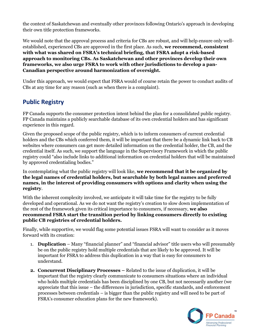the context of Saskatchewan and eventually other provinces following Ontario's approach in developing their own title protection frameworks.

We would note that the approval process and criteria for CBs are robust, and will help ensure only wellestablished, experienced CBs are approved in the first place. As such, **we recommend, consistent with what was shared on FSRA's technical briefing, that FSRA adopt a risk-based approach to monitoring CBs. As Saskatchewan and other provinces develop their own frameworks, we also urge FSRA to work with other jurisdictions to develop a pan-Canadian perspective around harmonization of oversight.**

Under this approach, we would expect that FSRA would of course retain the power to conduct audits of CBs at any time for any reason (such as when there is a complaint).

#### **Public Registry**

FP Canada supports the consumer protection intent behind the plan for a consolidated public registry. FP Canada maintains a publicly searchable database of its own credential holders and has significant experience in this regard.

Given the proposed scope of the public registry, which is to inform consumers of current credential holders and the CBs which conferred them, it will be important that there be a dynamic link back to CB websites where consumers can get more detailed information on the credential holder, the CB, and the credential itself. As such, we support the language in the Supervisory Framework in which the public registry could "also include links to additional information on credential holders that will be maintained by approved credentialing bodies."

In contemplating what the public registry will look like, **we recommend that it be organized by the legal names of credential holders, but searchable by both legal names and preferred names, in the interest of providing consumers with options and clarity when using the registry**.

With the inherent complexity involved, we anticipate it will take time for the registry to be fully developed and operational. As we do not want the registry's creation to slow down implementation of the rest of the framework given its critical importance to consumers, if necessary, **we also recommend FSRA start the transition period by linking consumers directly to existing public CB registries of credential holders.** 

Finally, while supportive, we would flag some potential issues FSRA will want to consider as it moves forward with its creation:

- 1. **Duplication** Many "financial planner" and "financial advisor" title users who will presumably be on the public registry hold multiple credentials that are likely to be approved. It will be important for FSRA to address this duplication in a way that is easy for consumers to understand.
- **2. Concurrent Disciplinary Processes –** Related to the issue of duplication, it will be important that the registry clearly communicate to consumers situations where an individual who holds multiple credentials has been disciplined by one CB, but not necessarily another (we appreciate that this issue – the differences in jurisdiction, specific standards, and enforcement processes between credentials – is bigger than the public registry and will need to be part of FSRA's consumer education plans for the new framework).

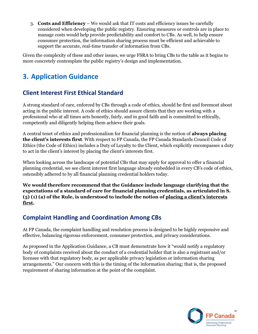3. **Costs and Efficiency** – We would ask that IT costs and efficiency issues be carefully considered when developing the public registry. Ensuring measures or controls are in place to manage costs would help provide predictability and comfort to CBs. As well, to help ensure consumer protection, the information sharing process must be efficient and achievable to support the accurate, real-time transfer of information from CBs.

Given the complexity of these and other issues, we urge FSRA to bring CBs to the table as it begins to more concretely contemplate the public registry's design and implementation.

### <span id="page-6-0"></span>**3. Application Guidance**

#### **Client Interest First Ethical Standard**

A strong standard of care, enforced by CBs through a code of ethics, should be first and foremost about acting in the public interest. A code of ethics should assure clients that they are working with a professional who at all times acts honestly, fairly, and in good faith and is committed to ethically, competently and diligently helping them achieve their goals.

A central tenet of ethics and professionalism for financial planning is the notion of **always placing the client's interests first**. With respect to FP Canada, the FP Canada Standards Council Code of Ethics (the Code of Ethics) includes a Duty of Loyalty to the Client, which explicitly encompasses a duty to act in the client's interest by placing the client's interests first.

When looking across the landscape of potential CBs that may apply for approval to offer a financial planning credential, we see client interest first language already embedded in every CB's code of ethics, ostensibly adhered to by all financial planning credential holders today.

**We would therefore recommend that the Guidance include language clarifying that the expectations of a standard of care for financial planning credentials, as articulated in S. (5) (1) (a) of the Rule, is understood to include the notion of placing a client's interests first.**

#### **Complaint Handling and Coordination Among CBs**

At FP Canada, the complaint handling and resolution process is designed to be highly responsive and effective, balancing rigorous enforcement, consumer protection, and privacy considerations.

As proposed in the Application Guidance, a CB must demonstrate how it "would notify a regulatory body of complaints received about the conduct of a credential holder that is also a registrant and/or licensee with that regulatory body, as per applicable privacy legislation or information sharing arrangements." Our concern with this is the timing of the information sharing; that is, the proposed requirement of sharing information at the point of the complaint.

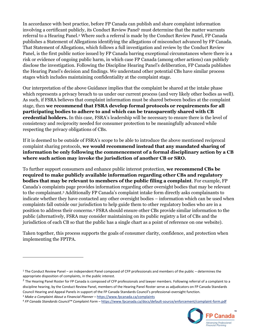In accordance with best practice, before FP Canada can publish and share complaint information involving a certificant publicly, its Conduct Review Panel<sup>1</sup> must determine that the matter warrants referral to a Hearing Panel.<sup>2</sup> Where such a referral is made by the Conduct Review Panel, FP Canada publishes a Statement of Allegations identifying the allegations of misconduct advanced by FP Canada. That Statement of Allegations, which follows a full investigation and review by the Conduct Review Panel, is the first public notice issued by FP Canada barring exceptional circumstances where there is a risk or evidence of ongoing public harm, in which case FP Canada (among other actions) can publicly disclose the investigation. Following the Discipline Hearing Panel's deliberation, FP Canada publishes the Hearing Panel's decision and findings. We understand other potential CBs have similar process stages which includes maintaining confidentiality at the complaint stage.

Our interpretation of the above Guidance implies that the complaint be shared at the intake phase which represents a privacy breach to us under our current process (and very likely other bodies as well). As such, if FSRA believes that complaint information must be shared between bodies at the complaint stage, then **we recommend that FSRA develop formal protocols or requirements for all participating bodies to adhere to and which can be transparently shared with CB credential holders.** In this case, FSRA's leadership will be necessary to ensure there is the level of consistency and reciprocity needed for consumer protection to be meaningfully advanced while respecting the privacy obligations of CBs.

If it is deemed to be outside of FSRA's scope to be able to introduce the above mentioned reciprocal complaint sharing protocols, **we would recommend instead that any mandated sharing of information be only following the commencement of a formal disciplinary action by a CB where such action may invoke the jurisdiction of another CB or SRO.**

To further support consumers and enhance public interest protection, **we recommend CBs be required to make publicly available information regarding other CBs and regulatory bodies that may be relevant to members of the public filing a complaint**. For example, FP Canada's complaints page provides information regarding other oversight bodies that may be relevant to the complainant.<sup>3</sup> Additionally FP Canada's complaint intake form directly asks complainants to indicate whether they have contacted any other oversight bodies – information which can be used when complaints fall outside our jurisdiction to help guide them to other regulatory bodies who are in a position to address their concerns. <sup>4</sup> FSRA should ensure other CBs provide similar information to the public (alternatively, FSRA may consider maintaining on its public registry a list of CBs and the jurisdiction of each CB so that the public has a single chart as a point of reference on one website).

Taken together, this process supports the goals of consumer clarity, confidence, and protection when implementing the FPTPA.

<sup>4</sup> *FP Canada Standards Council™ Complaint Form –* <https://www.fpcanada.ca/docs/default-source/enforcement/complaint-form.pdf>



 $1$  The Conduct Review Panel – an independent Panel composed of CFP professionals and members of the public – determines the appropriate disposition of complaints, in the public interest.

<sup>&</sup>lt;sup>2</sup> The Hearing Panel Roster for FP Canada is composed of CFP professionals and lawyer members. Following referral of a complaint to a discipline hearing, by the Conduct Review Panel, members of the Hearing Panel Roster serve as adjudicators on FP Canada Standards Council Hearing and Appeal Panels in support of the FP Canada Standards Council's professional-oversight function.

<sup>3</sup> *Make a Complaint About a Financial Planner* – <https://www.fpcanada.ca/complaints>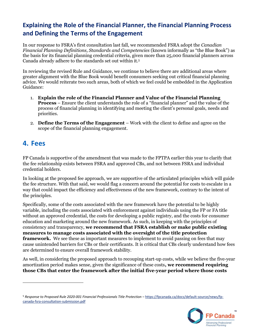#### **Explaining the Role of the Financial Planner, the Financial Planning Process and Defining the Terms of the Engagement**

In our response to FSRA's first consultation last fall, we recommended FSRA adopt the *Canadian Financial Planning Definitions, Standards and Competencies* (known informally as "the Blue Book") as the basis for its financial planning credential criteria, given more than 25,000 financial planners across Canada already adhere to the standards set out within it.<sup>5</sup>

In reviewing the revised Rule and Guidance, we continue to believe there are additional areas where greater alignment with the Blue Book would benefit consumers seeking out critical financial planning advice. We would reiterate two such areas, both of which we feel could be embedded in the Application Guidance:

- 1. **Explain the role of the Financial Planner and Value of the Financial Planning Process** – Ensure the client understands the role of a "financial planner" and the value of the process of financial planning in identifying and meeting the client's personal goals, needs and priorities.
- 2. **Define the Terms of the Engagement** Work with the client to define and agree on the scope of the financial planning engagement.

#### <span id="page-8-0"></span>**4. Fees**

FP Canada is supportive of the amendment that was made to the FPTPA earlier this year to clarify that the fee relationship exists between FSRA and approved CBs, and not between FSRA and individual credential holders.

In looking at the proposed fee approach, we are supportive of the articulated principles which will guide the fee structure. With that said, we would flag a concern around the potential for costs to escalate in a way that could impact the efficiency and effectiveness of the new framework, contrary to the intent of the principles.

Specifically, some of the costs associated with the new framework have the potential to be highly variable, including the costs associated with enforcement against individuals using the FP or FA title without an approved credential, the costs for developing a public registry, and the costs for consumer education and marketing around the new framework. As such, in keeping with the principles of consistency and transparency, **we recommend that FSRA establish or make public existing measures to manage costs associated with the oversight of the title protection framework.** We see these as important measures to implement to avoid passing on fees that may cause unintended barriers for CBs or their certificants. It is critical that CBs clearly understand how fees are determined to ensure overall framework stability.

As well, in considering the proposed approach to recouping start-up costs, while we believe the five-year amortization period makes sense, given the significance of these costs**, we recommend requiring those CBs that enter the framework after the initial five-year period where those costs** 

<sup>5</sup> Response to Proposed Rule 2020-001 Financial Professionals Title Protection - [https://fpcanada.ca/docs/default-source/news/fp](https://fpcanada.ca/docs/default-source/news/fp-canada-fsra-consultation-submission.pdf)[canada-fsra-consultation-submission.pdf](https://fpcanada.ca/docs/default-source/news/fp-canada-fsra-consultation-submission.pdf)